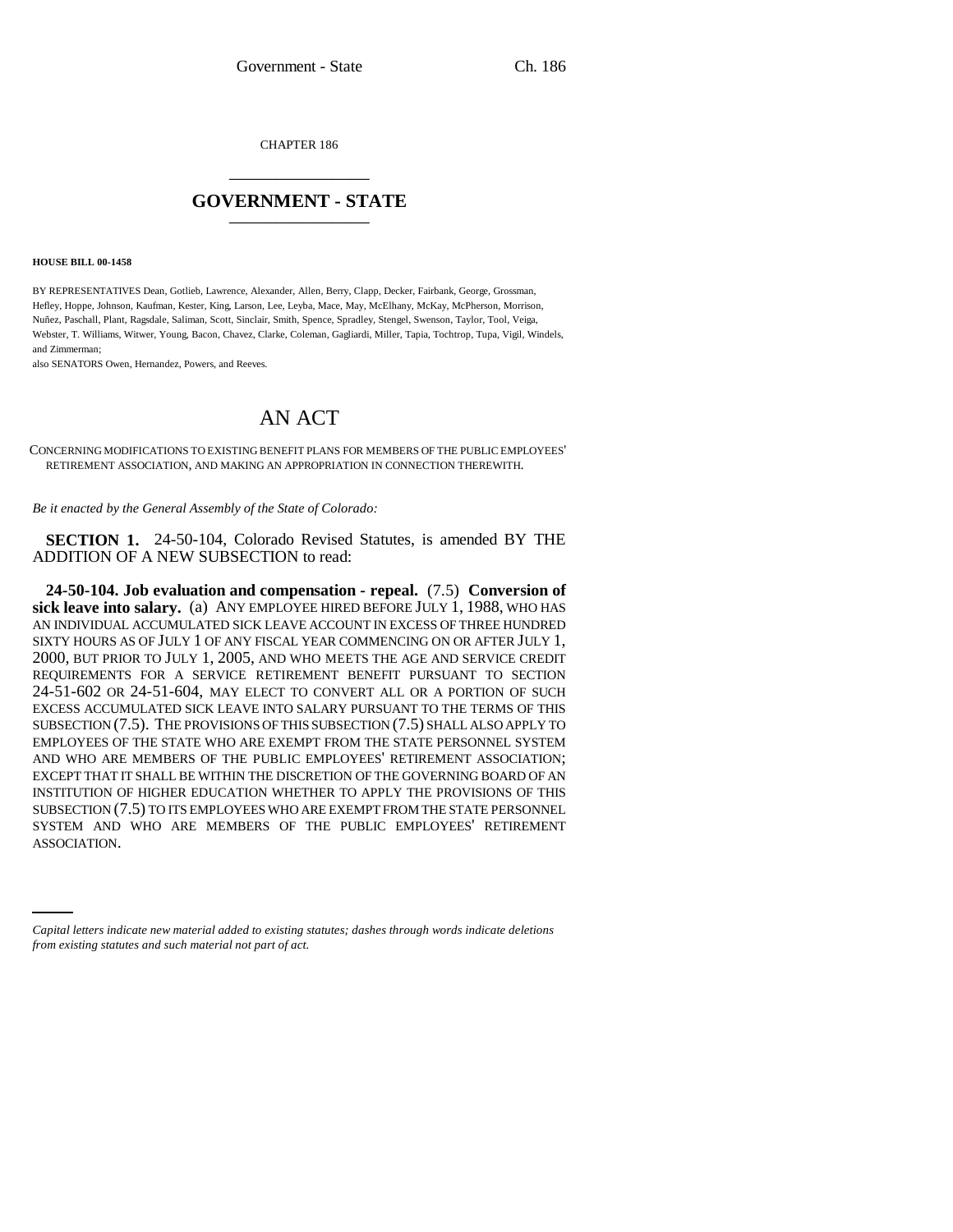CHAPTER 186 \_\_\_\_\_\_\_\_\_\_\_\_\_\_\_

# **GOVERNMENT - STATE** \_\_\_\_\_\_\_\_\_\_\_\_\_\_\_

**HOUSE BILL 00-1458** 

BY REPRESENTATIVES Dean, Gotlieb, Lawrence, Alexander, Allen, Berry, Clapp, Decker, Fairbank, George, Grossman, Hefley, Hoppe, Johnson, Kaufman, Kester, King, Larson, Lee, Leyba, Mace, May, McElhany, McKay, McPherson, Morrison, Nuñez, Paschall, Plant, Ragsdale, Saliman, Scott, Sinclair, Smith, Spence, Spradley, Stengel, Swenson, Taylor, Tool, Veiga, Webster, T. Williams, Witwer, Young, Bacon, Chavez, Clarke, Coleman, Gagliardi, Miller, Tapia, Tochtrop, Tupa, Vigil, Windels, and Zimmerman;

also SENATORS Owen, Hernandez, Powers, and Reeves.

# AN ACT

CONCERNING MODIFICATIONS TO EXISTING BENEFIT PLANS FOR MEMBERS OF THE PUBLIC EMPLOYEES' RETIREMENT ASSOCIATION, AND MAKING AN APPROPRIATION IN CONNECTION THEREWITH.

*Be it enacted by the General Assembly of the State of Colorado:*

**SECTION 1.** 24-50-104, Colorado Revised Statutes, is amended BY THE ADDITION OF A NEW SUBSECTION to read:

SYSTEM AND WHO ARE MEMBERS OF THE PUBLIC EMPLOYEES' RETIREMENT **24-50-104. Job evaluation and compensation - repeal.** (7.5) **Conversion of sick leave into salary.** (a) ANY EMPLOYEE HIRED BEFORE JULY 1, 1988, WHO HAS AN INDIVIDUAL ACCUMULATED SICK LEAVE ACCOUNT IN EXCESS OF THREE HUNDRED SIXTY HOURS AS OF JULY 1 OF ANY FISCAL YEAR COMMENCING ON OR AFTER JULY 1, 2000, BUT PRIOR TO JULY 1, 2005, AND WHO MEETS THE AGE AND SERVICE CREDIT REQUIREMENTS FOR A SERVICE RETIREMENT BENEFIT PURSUANT TO SECTION 24-51-602 OR 24-51-604, MAY ELECT TO CONVERT ALL OR A PORTION OF SUCH EXCESS ACCUMULATED SICK LEAVE INTO SALARY PURSUANT TO THE TERMS OF THIS SUBSECTION (7.5). THE PROVISIONS OF THIS SUBSECTION (7.5) SHALL ALSO APPLY TO EMPLOYEES OF THE STATE WHO ARE EXEMPT FROM THE STATE PERSONNEL SYSTEM AND WHO ARE MEMBERS OF THE PUBLIC EMPLOYEES' RETIREMENT ASSOCIATION; EXCEPT THAT IT SHALL BE WITHIN THE DISCRETION OF THE GOVERNING BOARD OF AN INSTITUTION OF HIGHER EDUCATION WHETHER TO APPLY THE PROVISIONS OF THIS SUBSECTION (7.5) TO ITS EMPLOYEES WHO ARE EXEMPT FROM THE STATE PERSONNEL ASSOCIATION.

*Capital letters indicate new material added to existing statutes; dashes through words indicate deletions from existing statutes and such material not part of act.*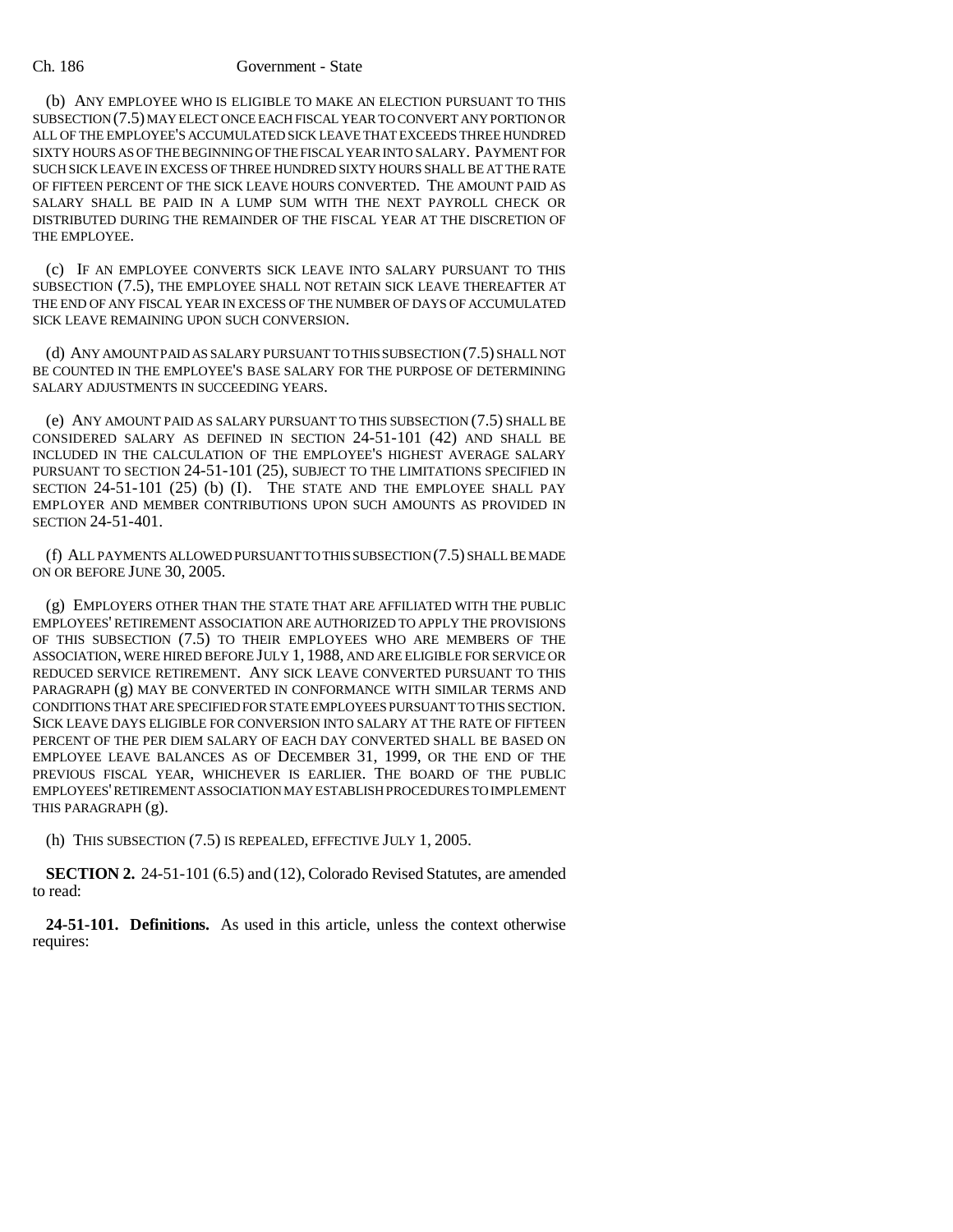### Ch. 186 Government - State

(b) ANY EMPLOYEE WHO IS ELIGIBLE TO MAKE AN ELECTION PURSUANT TO THIS SUBSECTION (7.5) MAY ELECT ONCE EACH FISCAL YEAR TO CONVERT ANY PORTION OR ALL OF THE EMPLOYEE'S ACCUMULATED SICK LEAVE THAT EXCEEDS THREE HUNDRED SIXTY HOURS AS OF THE BEGINNING OF THE FISCAL YEAR INTO SALARY. PAYMENT FOR SUCH SICK LEAVE IN EXCESS OF THREE HUNDRED SIXTY HOURS SHALL BE AT THE RATE OF FIFTEEN PERCENT OF THE SICK LEAVE HOURS CONVERTED. THE AMOUNT PAID AS SALARY SHALL BE PAID IN A LUMP SUM WITH THE NEXT PAYROLL CHECK OR DISTRIBUTED DURING THE REMAINDER OF THE FISCAL YEAR AT THE DISCRETION OF THE EMPLOYEE.

(c) IF AN EMPLOYEE CONVERTS SICK LEAVE INTO SALARY PURSUANT TO THIS SUBSECTION (7.5), THE EMPLOYEE SHALL NOT RETAIN SICK LEAVE THEREAFTER AT THE END OF ANY FISCAL YEAR IN EXCESS OF THE NUMBER OF DAYS OF ACCUMULATED SICK LEAVE REMAINING UPON SUCH CONVERSION.

(d) ANY AMOUNT PAID AS SALARY PURSUANT TO THIS SUBSECTION (7.5) SHALL NOT BE COUNTED IN THE EMPLOYEE'S BASE SALARY FOR THE PURPOSE OF DETERMINING SALARY ADJUSTMENTS IN SUCCEEDING YEARS.

(e) ANY AMOUNT PAID AS SALARY PURSUANT TO THIS SUBSECTION (7.5) SHALL BE CONSIDERED SALARY AS DEFINED IN SECTION 24-51-101 (42) AND SHALL BE INCLUDED IN THE CALCULATION OF THE EMPLOYEE'S HIGHEST AVERAGE SALARY PURSUANT TO SECTION 24-51-101 (25), SUBJECT TO THE LIMITATIONS SPECIFIED IN SECTION 24-51-101 (25) (b) (I). THE STATE AND THE EMPLOYEE SHALL PAY EMPLOYER AND MEMBER CONTRIBUTIONS UPON SUCH AMOUNTS AS PROVIDED IN SECTION 24-51-401.

(f) ALL PAYMENTS ALLOWED PURSUANT TO THIS SUBSECTION (7.5) SHALL BE MADE ON OR BEFORE JUNE 30, 2005.

(g) EMPLOYERS OTHER THAN THE STATE THAT ARE AFFILIATED WITH THE PUBLIC EMPLOYEES' RETIREMENT ASSOCIATION ARE AUTHORIZED TO APPLY THE PROVISIONS OF THIS SUBSECTION (7.5) TO THEIR EMPLOYEES WHO ARE MEMBERS OF THE ASSOCIATION, WERE HIRED BEFORE JULY 1, 1988, AND ARE ELIGIBLE FOR SERVICE OR REDUCED SERVICE RETIREMENT. ANY SICK LEAVE CONVERTED PURSUANT TO THIS PARAGRAPH (g) MAY BE CONVERTED IN CONFORMANCE WITH SIMILAR TERMS AND CONDITIONS THAT ARE SPECIFIED FOR STATE EMPLOYEES PURSUANT TO THIS SECTION. SICK LEAVE DAYS ELIGIBLE FOR CONVERSION INTO SALARY AT THE RATE OF FIFTEEN PERCENT OF THE PER DIEM SALARY OF EACH DAY CONVERTED SHALL BE BASED ON EMPLOYEE LEAVE BALANCES AS OF DECEMBER 31, 1999, OR THE END OF THE PREVIOUS FISCAL YEAR, WHICHEVER IS EARLIER. THE BOARD OF THE PUBLIC EMPLOYEES' RETIREMENT ASSOCIATION MAY ESTABLISH PROCEDURES TO IMPLEMENT THIS PARAGRAPH (g).

(h) THIS SUBSECTION (7.5) IS REPEALED, EFFECTIVE JULY 1, 2005.

**SECTION 2.** 24-51-101 (6.5) and (12), Colorado Revised Statutes, are amended to read:

**24-51-101. Definitions.** As used in this article, unless the context otherwise requires: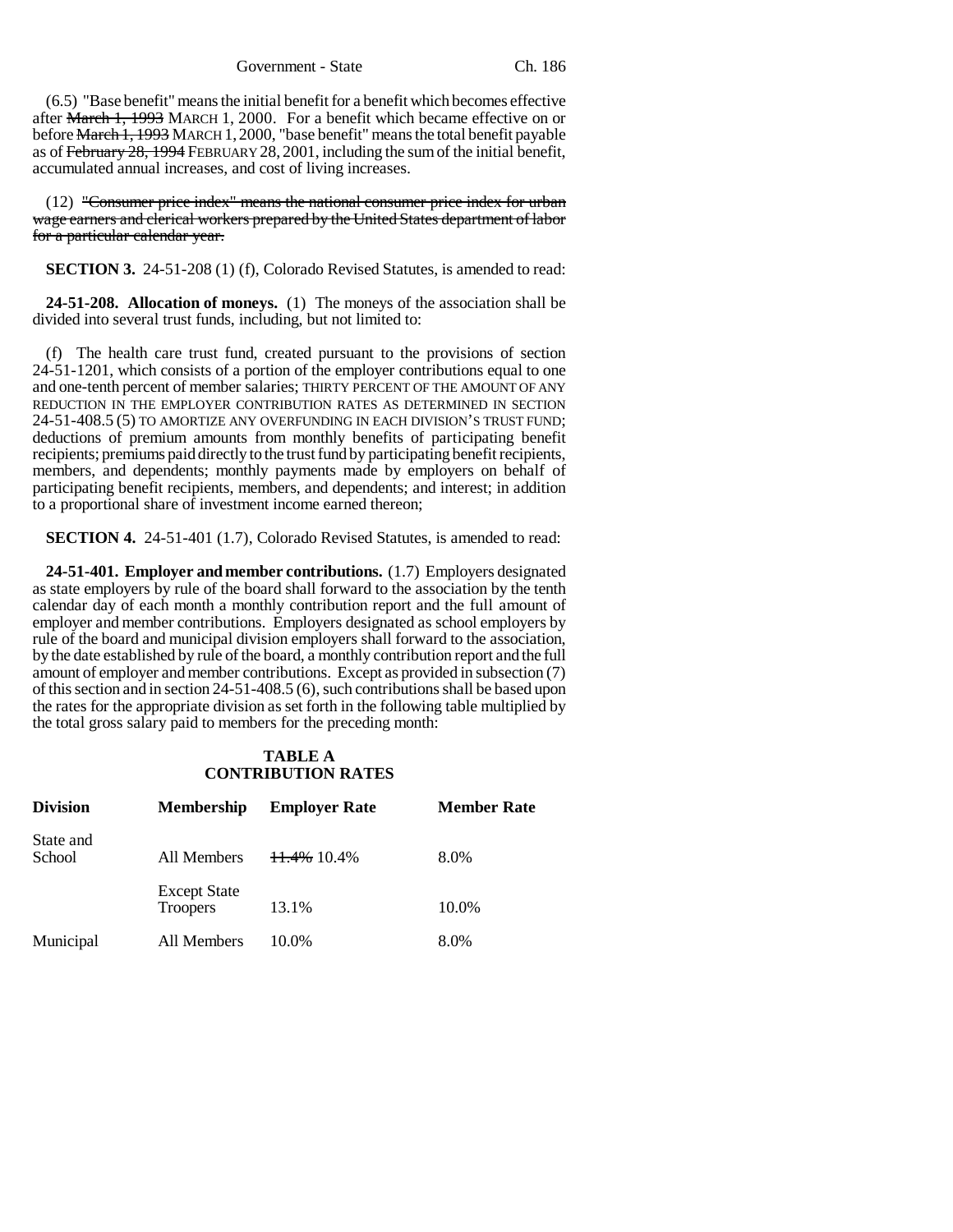Government - State Ch. 186

(6.5) "Base benefit" means the initial benefit for a benefit which becomes effective after March 1, 1993 MARCH 1, 2000. For a benefit which became effective on or before March 1, 1993 MARCH 1, 2000, "base benefit" means the total benefit payable as of February 28, 1994 FEBRUARY 28, 2001, including the sum of the initial benefit, accumulated annual increases, and cost of living increases.

(12) "Consumer price index" means the national consumer price index for urban wage earners and clerical workers prepared by the United States department of labor for a particular calendar year.

**SECTION 3.** 24-51-208 (1) (f), Colorado Revised Statutes, is amended to read:

**24-51-208. Allocation of moneys.** (1) The moneys of the association shall be divided into several trust funds, including, but not limited to:

(f) The health care trust fund, created pursuant to the provisions of section 24-51-1201, which consists of a portion of the employer contributions equal to one and one-tenth percent of member salaries; THIRTY PERCENT OF THE AMOUNT OF ANY REDUCTION IN THE EMPLOYER CONTRIBUTION RATES AS DETERMINED IN SECTION 24-51-408.5 (5) TO AMORTIZE ANY OVERFUNDING IN EACH DIVISION'S TRUST FUND; deductions of premium amounts from monthly benefits of participating benefit recipients; premiums paid directly to the trust fund by participating benefit recipients, members, and dependents; monthly payments made by employers on behalf of participating benefit recipients, members, and dependents; and interest; in addition to a proportional share of investment income earned thereon;

**SECTION 4.** 24-51-401 (1.7), Colorado Revised Statutes, is amended to read:

**24-51-401. Employer and member contributions.** (1.7) Employers designated as state employers by rule of the board shall forward to the association by the tenth calendar day of each month a monthly contribution report and the full amount of employer and member contributions. Employers designated as school employers by rule of the board and municipal division employers shall forward to the association, by the date established by rule of the board, a monthly contribution report and the full amount of employer and member contributions. Except as provided in subsection (7) of this section and in section 24-51-408.5 (6), such contributions shall be based upon the rates for the appropriate division as set forth in the following table multiplied by the total gross salary paid to members for the preceding month:

## **TABLE A CONTRIBUTION RATES**

| <b>Division</b>     | <b>Membership</b>                      | <b>Employer Rate</b> | <b>Member Rate</b> |
|---------------------|----------------------------------------|----------------------|--------------------|
| State and<br>School | All Members                            | 11.4% 10.4%          | 8.0%               |
|                     | <b>Except State</b><br><b>Troopers</b> | 13.1%                | 10.0%              |
| Municipal           | All Members                            | 10.0%                | 8.0%               |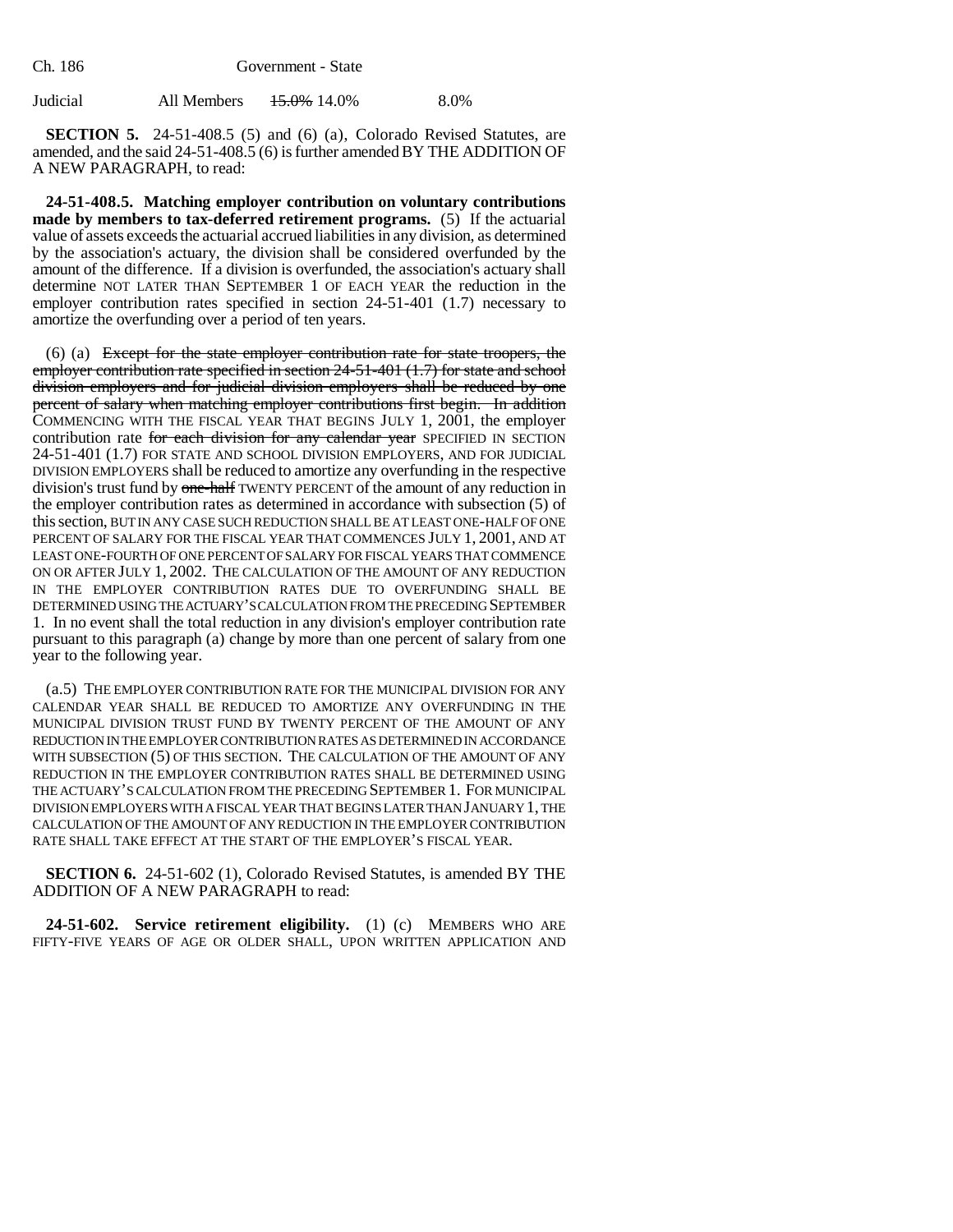| Judicial | All Members | 15.0% 14.0% | 8.0% |
|----------|-------------|-------------|------|
|          |             |             |      |

**SECTION 5.** 24-51-408.5 (5) and (6) (a), Colorado Revised Statutes, are amended, and the said 24-51-408.5 (6) is further amended BY THE ADDITION OF A NEW PARAGRAPH, to read:

**24-51-408.5. Matching employer contribution on voluntary contributions made by members to tax-deferred retirement programs.** (5) If the actuarial value of assets exceeds the actuarial accrued liabilities in any division, as determined by the association's actuary, the division shall be considered overfunded by the amount of the difference. If a division is overfunded, the association's actuary shall determine NOT LATER THAN SEPTEMBER 1 OF EACH YEAR the reduction in the employer contribution rates specified in section 24-51-401 (1.7) necessary to amortize the overfunding over a period of ten years.

(6) (a) Except for the state employer contribution rate for state troopers, the employer contribution rate specified in section 24-51-401 (1.7) for state and school division employers and for judicial division employers shall be reduced by one percent of salary when matching employer contributions first begin. In addition COMMENCING WITH THE FISCAL YEAR THAT BEGINS JULY 1, 2001, the employer contribution rate for each division for any calendar year SPECIFIED IN SECTION 24-51-401 (1.7) FOR STATE AND SCHOOL DIVISION EMPLOYERS, AND FOR JUDICIAL DIVISION EMPLOYERS shall be reduced to amortize any overfunding in the respective division's trust fund by one-half TWENTY PERCENT of the amount of any reduction in the employer contribution rates as determined in accordance with subsection (5) of this section, BUT IN ANY CASE SUCH REDUCTION SHALL BE AT LEAST ONE-HALF OF ONE PERCENT OF SALARY FOR THE FISCAL YEAR THAT COMMENCES JULY 1, 2001, AND AT LEAST ONE-FOURTH OF ONE PERCENT OF SALARY FOR FISCAL YEARS THAT COMMENCE ON OR AFTER JULY 1, 2002. THE CALCULATION OF THE AMOUNT OF ANY REDUCTION IN THE EMPLOYER CONTRIBUTION RATES DUE TO OVERFUNDING SHALL BE DETERMINED USING THE ACTUARY'S CALCULATION FROM THE PRECEDING SEPTEMBER 1. In no event shall the total reduction in any division's employer contribution rate pursuant to this paragraph (a) change by more than one percent of salary from one year to the following year.

(a.5) THE EMPLOYER CONTRIBUTION RATE FOR THE MUNICIPAL DIVISION FOR ANY CALENDAR YEAR SHALL BE REDUCED TO AMORTIZE ANY OVERFUNDING IN THE MUNICIPAL DIVISION TRUST FUND BY TWENTY PERCENT OF THE AMOUNT OF ANY REDUCTION IN THE EMPLOYER CONTRIBUTION RATES AS DETERMINED IN ACCORDANCE WITH SUBSECTION (5) OF THIS SECTION. THE CALCULATION OF THE AMOUNT OF ANY REDUCTION IN THE EMPLOYER CONTRIBUTION RATES SHALL BE DETERMINED USING THE ACTUARY'S CALCULATION FROM THE PRECEDING SEPTEMBER 1. FOR MUNICIPAL DIVISION EMPLOYERS WITH A FISCAL YEAR THAT BEGINS LATER THAN JANUARY 1, THE CALCULATION OF THE AMOUNT OF ANY REDUCTION IN THE EMPLOYER CONTRIBUTION RATE SHALL TAKE EFFECT AT THE START OF THE EMPLOYER'S FISCAL YEAR.

**SECTION 6.** 24-51-602 (1), Colorado Revised Statutes, is amended BY THE ADDITION OF A NEW PARAGRAPH to read:

**24-51-602. Service retirement eligibility.** (1) (c) MEMBERS WHO ARE FIFTY-FIVE YEARS OF AGE OR OLDER SHALL, UPON WRITTEN APPLICATION AND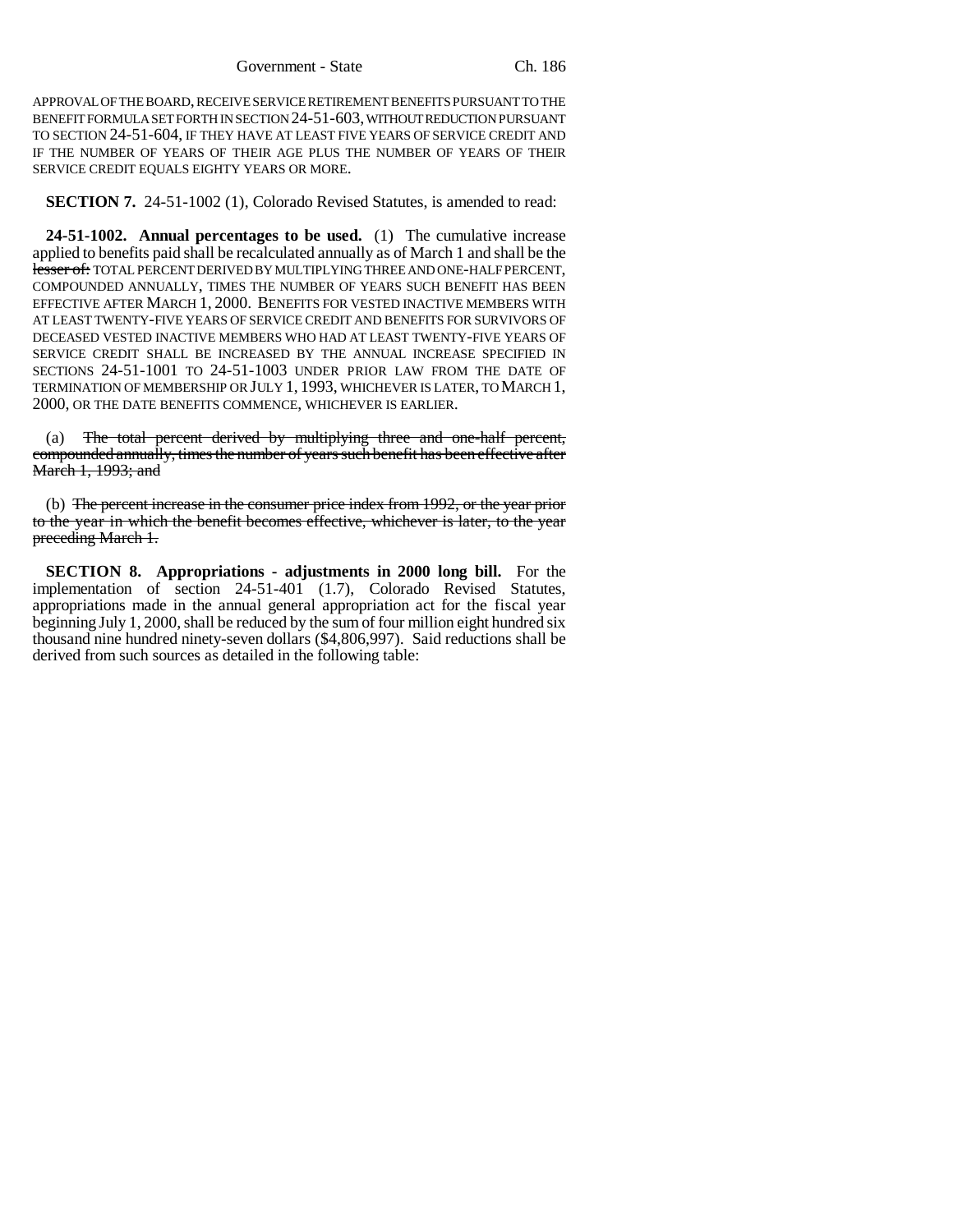APPROVAL OF THE BOARD, RECEIVE SERVICE RETIREMENT BENEFITS PURSUANT TO THE BENEFIT FORMULA SET FORTH IN SECTION 24-51-603, WITHOUT REDUCTION PURSUANT TO SECTION 24-51-604, IF THEY HAVE AT LEAST FIVE YEARS OF SERVICE CREDIT AND IF THE NUMBER OF YEARS OF THEIR AGE PLUS THE NUMBER OF YEARS OF THEIR SERVICE CREDIT EQUALS EIGHTY YEARS OR MORE.

**SECTION 7.** 24-51-1002 (1), Colorado Revised Statutes, is amended to read:

**24-51-1002. Annual percentages to be used.** (1) The cumulative increase applied to benefits paid shall be recalculated annually as of March 1 and shall be the lesser of: TOTAL PERCENT DERIVED BY MULTIPLYING THREE AND ONE-HALF PERCENT, COMPOUNDED ANNUALLY, TIMES THE NUMBER OF YEARS SUCH BENEFIT HAS BEEN EFFECTIVE AFTER MARCH 1, 2000. BENEFITS FOR VESTED INACTIVE MEMBERS WITH AT LEAST TWENTY-FIVE YEARS OF SERVICE CREDIT AND BENEFITS FOR SURVIVORS OF DECEASED VESTED INACTIVE MEMBERS WHO HAD AT LEAST TWENTY-FIVE YEARS OF SERVICE CREDIT SHALL BE INCREASED BY THE ANNUAL INCREASE SPECIFIED IN SECTIONS 24-51-1001 TO 24-51-1003 UNDER PRIOR LAW FROM THE DATE OF TERMINATION OF MEMBERSHIP OR JULY 1, 1993, WHICHEVER IS LATER, TO MARCH 1, 2000, OR THE DATE BENEFITS COMMENCE, WHICHEVER IS EARLIER.

(a) The total percent derived by multiplying three and one-half percent, compounded annually, times the number of years such benefit has been effective after March 1, 1993; and

(b) The percent increase in the consumer price index from 1992, or the year prior to the year in which the benefit becomes effective, whichever is later, to the year preceding March 1.

**SECTION 8. Appropriations - adjustments in 2000 long bill.** For the implementation of section 24-51-401 (1.7), Colorado Revised Statutes, appropriations made in the annual general appropriation act for the fiscal year beginning July 1, 2000, shall be reduced by the sum of four million eight hundred six thousand nine hundred ninety-seven dollars (\$4,806,997). Said reductions shall be derived from such sources as detailed in the following table: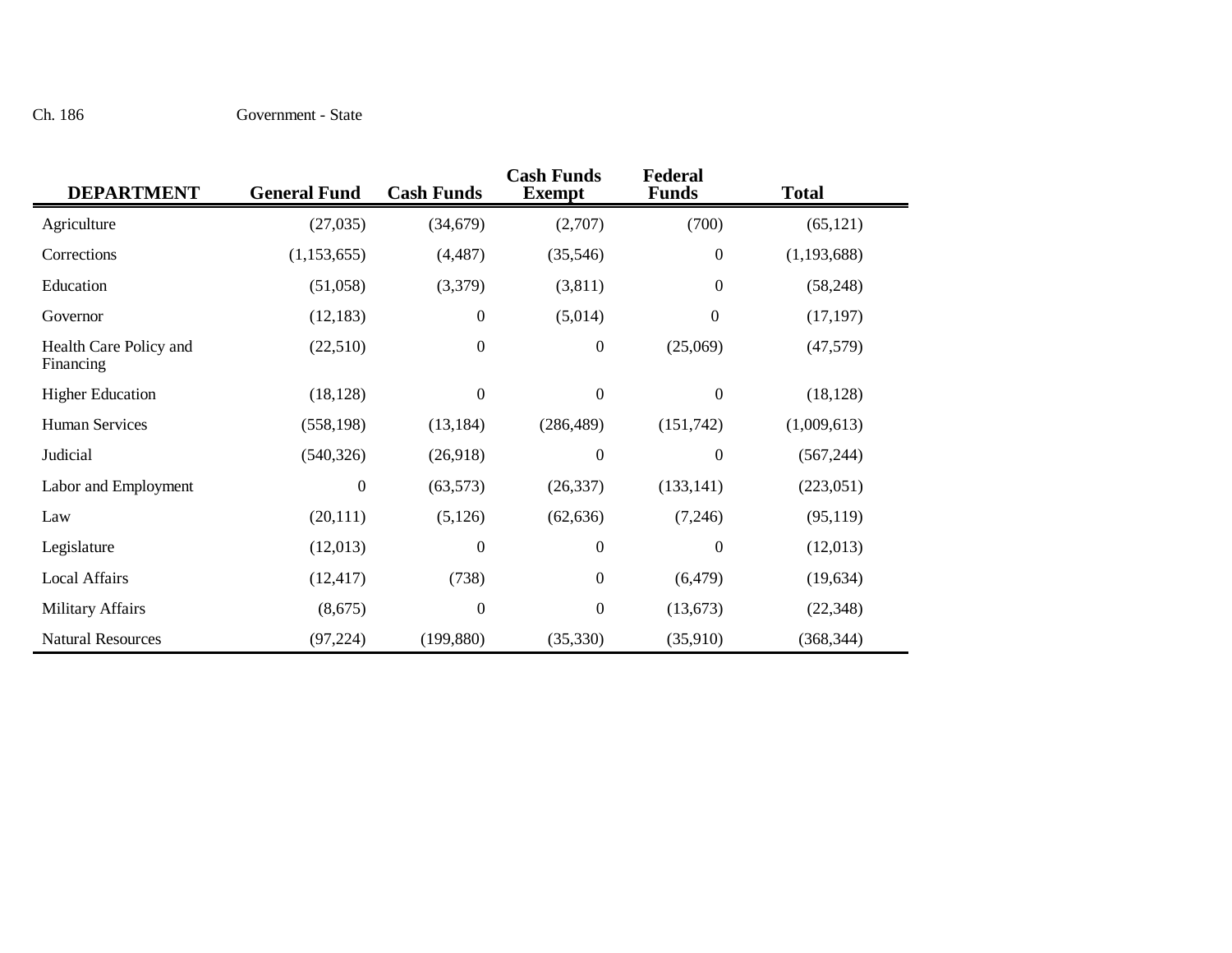#### Ch. 186 Government - State

| <b>DEPARTMENT</b>                   | <b>General Fund</b> | <b>Cash Funds</b> | <b>Cash Funds</b><br><b>Exempt</b> | Federal<br><b>Funds</b> | <b>Total</b> |
|-------------------------------------|---------------------|-------------------|------------------------------------|-------------------------|--------------|
| Agriculture                         | (27,035)            | (34, 679)         | (2,707)                            | (700)                   | (65, 121)    |
| Corrections                         | (1,153,655)         | (4, 487)          | (35,546)                           | $\boldsymbol{0}$        | (1,193,688)  |
| Education                           | (51,058)            | (3,379)           | (3,811)                            | $\overline{0}$          | (58, 248)    |
| Governor                            | (12, 183)           | $\boldsymbol{0}$  | (5,014)                            | $\boldsymbol{0}$        | (17, 197)    |
| Health Care Policy and<br>Financing | (22,510)            | $\boldsymbol{0}$  | $\boldsymbol{0}$                   | (25,069)                | (47, 579)    |
| <b>Higher Education</b>             | (18, 128)           | $\boldsymbol{0}$  | $\boldsymbol{0}$                   | $\boldsymbol{0}$        | (18, 128)    |
| <b>Human Services</b>               | (558, 198)          | (13, 184)         | (286, 489)                         | (151,742)               | (1,009,613)  |
| Judicial                            | (540, 326)          | (26,918)          | $\boldsymbol{0}$                   | $\overline{0}$          | (567, 244)   |
| Labor and Employment                | $\boldsymbol{0}$    | (63, 573)         | (26, 337)                          | (133, 141)              | (223,051)    |
| Law                                 | (20, 111)           | (5, 126)          | (62, 636)                          | (7,246)                 | (95, 119)    |
| Legislature                         | (12,013)            | $\boldsymbol{0}$  | $\boldsymbol{0}$                   | $\overline{0}$          | (12,013)     |
| <b>Local Affairs</b>                | (12, 417)           | (738)             | $\boldsymbol{0}$                   | (6, 479)                | (19, 634)    |
| <b>Military Affairs</b>             | (8,675)             | $\boldsymbol{0}$  | $\boldsymbol{0}$                   | (13,673)                | (22, 348)    |
| <b>Natural Resources</b>            | (97, 224)           | (199, 880)        | (35,330)                           | (35,910)                | (368, 344)   |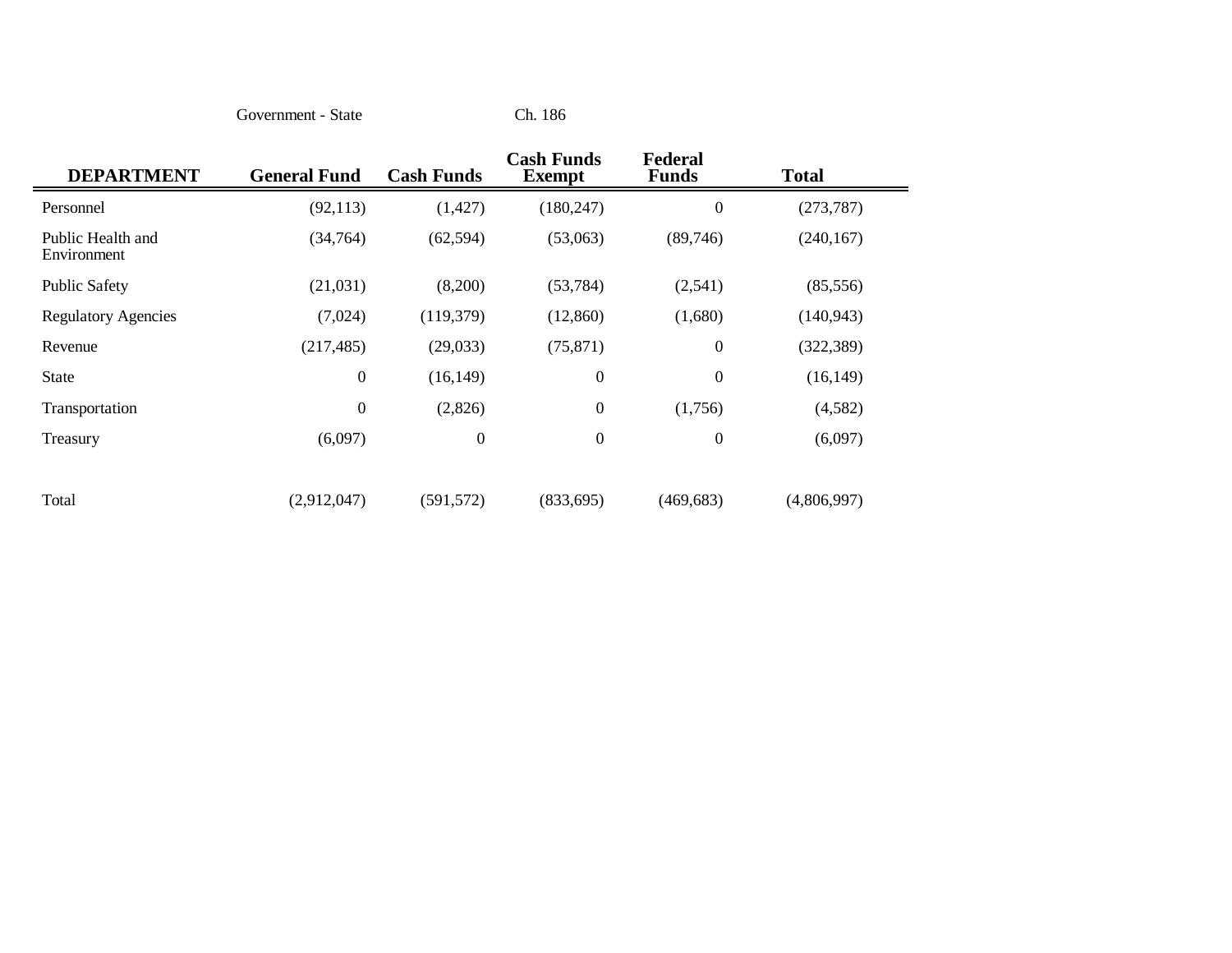Government - State

Ch. 186

| <b>DEPARTMENT</b>                | <b>General Fund</b> | <b>Cash Funds</b> | <b>Cash Funds</b><br><b>Exempt</b> | Federal<br><b>Funds</b> | <b>Total</b> |  |
|----------------------------------|---------------------|-------------------|------------------------------------|-------------------------|--------------|--|
| Personnel                        | (92, 113)           | (1, 427)          | (180, 247)                         | $\boldsymbol{0}$        | (273, 787)   |  |
| Public Health and<br>Environment | (34,764)            | (62, 594)         | (53,063)                           | (89,746)                | (240, 167)   |  |
| <b>Public Safety</b>             | (21,031)            | (8,200)           | (53, 784)                          | (2,541)                 | (85, 556)    |  |
| <b>Regulatory Agencies</b>       | (7,024)             | (119,379)         | (12,860)                           | (1,680)                 | (140, 943)   |  |
| Revenue                          | (217, 485)          | (29,033)          | (75, 871)                          | $\boldsymbol{0}$        | (322, 389)   |  |
| <b>State</b>                     | $\boldsymbol{0}$    | (16, 149)         | $\boldsymbol{0}$                   | $\boldsymbol{0}$        | (16, 149)    |  |
| Transportation                   | $\boldsymbol{0}$    | (2,826)           | $\boldsymbol{0}$                   | (1,756)                 | (4,582)      |  |
| Treasury                         | (6,097)             | $\boldsymbol{0}$  | $\boldsymbol{0}$                   | $\boldsymbol{0}$        | (6,097)      |  |
|                                  |                     |                   |                                    |                         |              |  |
| Total                            | (2,912,047)         | (591, 572)        | (833, 695)                         | (469, 683)              | (4,806,997)  |  |